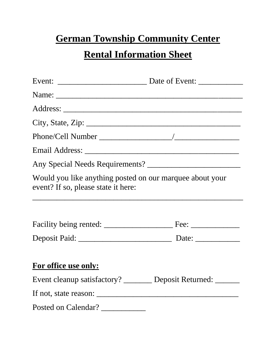## **German Township Community Center**

# **Rental Information Sheet**

| City, State, Zip:                                                                               |  |
|-------------------------------------------------------------------------------------------------|--|
|                                                                                                 |  |
|                                                                                                 |  |
|                                                                                                 |  |
| Would you like anything posted on our marquee about your<br>event? If so, please state it here: |  |
|                                                                                                 |  |
|                                                                                                 |  |
| For office use only:                                                                            |  |
| Event cleanup satisfactory? _______ Deposit Returned: ______                                    |  |
|                                                                                                 |  |
| Posted on Calendar?                                                                             |  |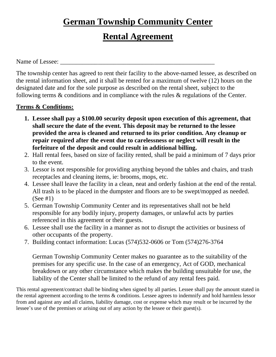### **German Township Community Center**

### **Rental Agreement**

Name of Lessee:

The township center has agreed to rent their facility to the above-named lessee, as described on the rental information sheet, and it shall be rented for a maximum of twelve (12) hours on the designated date and for the sole purpose as described on the rental sheet, subject to the following terms & conditions and in compliance with the rules & regulations of the Center.

#### **Terms & Conditions:**

- **1. Lessee shall pay a \$100.00 security deposit upon execution of this agreement, that shall secure the date of the event. This deposit may be returned to the lessee provided the area is cleaned and returned to its prior condition. Any cleanup or repair required after the event due to carelessness or neglect will result in the forfeiture of the deposit and could result in additional billing.**
- 2. Hall rental fees, based on size of facility rented, shall be paid a minimum of 7 days prior to the event.
- 3. Lessor is not responsible for providing anything beyond the tables and chairs, and trash receptacles and cleaning items, ie: brooms, mops, etc.
- 4. Lessee shall leave the facility in a clean, neat and orderly fashion at the end of the rental. All trash is to be placed in the dumpster and floors are to be swept/mopped as needed. (See #1)
- 5. German Township Community Center and its representatives shall not be held responsible for any bodily injury, property damages, or unlawful acts by parties referenced in this agreement or their guests.
- 6. Lessee shall use the facility in a manner as not to disrupt the activities or business of other occupants of the property.
- 7. Building contact information: Lucas (574)532-0606 or Tom (574)276-3764

German Township Community Center makes no guarantee as to the suitability of the premises for any specific use. In the case of an emergency, Act of GOD, mechanical breakdown or any other circumstance which makes the building unsuitable for use, the liability of the Center shall be limited to the refund of any rental fees paid.

This rental agreement/contract shall be binding when signed by all parties. Lessee shall pay the amount stated in the rental agreement according to the terms & conditions. Lessee agrees to indemnify and hold harmless lessor from and against any and all claims, liability damage, cost or expense which may result or be incurred by the lessee's use of the premises or arising out of any action by the lessee or their guest(s).